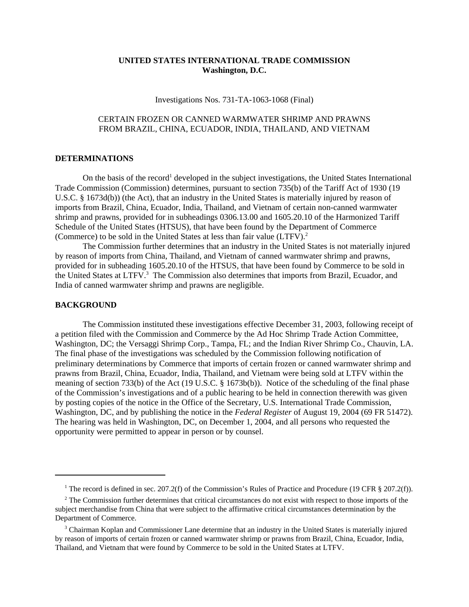## **UNITED STATES INTERNATIONAL TRADE COMMISSION Washington, D.C.**

Investigations Nos. 731-TA-1063-1068 (Final)

## CERTAIN FROZEN OR CANNED WARMWATER SHRIMP AND PRAWNS FROM BRAZIL, CHINA, ECUADOR, INDIA, THAILAND, AND VIETNAM

## **DETERMINATIONS**

On the basis of the record<sup>1</sup> developed in the subject investigations, the United States International Trade Commission (Commission) determines, pursuant to section 735(b) of the Tariff Act of 1930 (19 U.S.C. § 1673d(b)) (the Act), that an industry in the United States is materially injured by reason of imports from Brazil, China, Ecuador, India, Thailand, and Vietnam of certain non-canned warmwater shrimp and prawns, provided for in subheadings 0306.13.00 and 1605.20.10 of the Harmonized Tariff Schedule of the United States (HTSUS), that have been found by the Department of Commerce (Commerce) to be sold in the United States at less than fair value (LTFV).2

The Commission further determines that an industry in the United States is not materially injured by reason of imports from China, Thailand, and Vietnam of canned warmwater shrimp and prawns, provided for in subheading 1605.20.10 of the HTSUS, that have been found by Commerce to be sold in the United States at LTFV.<sup>3</sup> The Commission also determines that imports from Brazil, Ecuador, and India of canned warmwater shrimp and prawns are negligible.

## **BACKGROUND**

The Commission instituted these investigations effective December 31, 2003, following receipt of a petition filed with the Commission and Commerce by the Ad Hoc Shrimp Trade Action Committee, Washington, DC; the Versaggi Shrimp Corp., Tampa, FL; and the Indian River Shrimp Co., Chauvin, LA. The final phase of the investigations was scheduled by the Commission following notification of preliminary determinations by Commerce that imports of certain frozen or canned warmwater shrimp and prawns from Brazil, China, Ecuador, India, Thailand, and Vietnam were being sold at LTFV within the meaning of section 733(b) of the Act (19 U.S.C. § 1673b(b)). Notice of the scheduling of the final phase of the Commission's investigations and of a public hearing to be held in connection therewith was given by posting copies of the notice in the Office of the Secretary, U.S. International Trade Commission, Washington, DC, and by publishing the notice in the *Federal Register* of August 19, 2004 (69 FR 51472). The hearing was held in Washington, DC, on December 1, 2004, and all persons who requested the opportunity were permitted to appear in person or by counsel.

<sup>&</sup>lt;sup>1</sup> The record is defined in sec. 207.2(f) of the Commission's Rules of Practice and Procedure (19 CFR § 207.2(f)).

<sup>&</sup>lt;sup>2</sup> The Commission further determines that critical circumstances do not exist with respect to those imports of the subject merchandise from China that were subject to the affirmative critical circumstances determination by the Department of Commerce.

<sup>&</sup>lt;sup>3</sup> Chairman Koplan and Commissioner Lane determine that an industry in the United States is materially injured by reason of imports of certain frozen or canned warmwater shrimp or prawns from Brazil, China, Ecuador, India, Thailand, and Vietnam that were found by Commerce to be sold in the United States at LTFV.